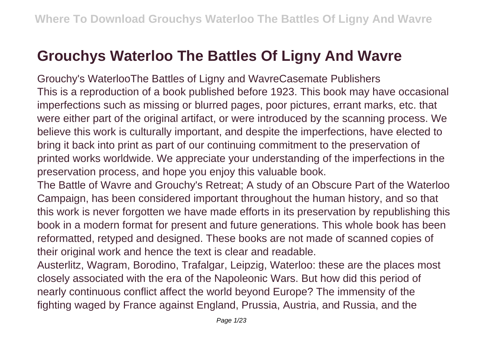## **Grouchys Waterloo The Battles Of Ligny And Wavre**

Grouchy's WaterlooThe Battles of Ligny and WavreCasemate Publishers This is a reproduction of a book published before 1923. This book may have occasional imperfections such as missing or blurred pages, poor pictures, errant marks, etc. that were either part of the original artifact, or were introduced by the scanning process. We believe this work is culturally important, and despite the imperfections, have elected to bring it back into print as part of our continuing commitment to the preservation of printed works worldwide. We appreciate your understanding of the imperfections in the preservation process, and hope you enjoy this valuable book.

The Battle of Wavre and Grouchy's Retreat; A study of an Obscure Part of the Waterloo Campaign, has been considered important throughout the human history, and so that this work is never forgotten we have made efforts in its preservation by republishing this book in a modern format for present and future generations. This whole book has been reformatted, retyped and designed. These books are not made of scanned copies of their original work and hence the text is clear and readable.

Austerlitz, Wagram, Borodino, Trafalgar, Leipzig, Waterloo: these are the places most closely associated with the era of the Napoleonic Wars. But how did this period of nearly continuous conflict affect the world beyond Europe? The immensity of the fighting waged by France against England, Prussia, Austria, and Russia, and the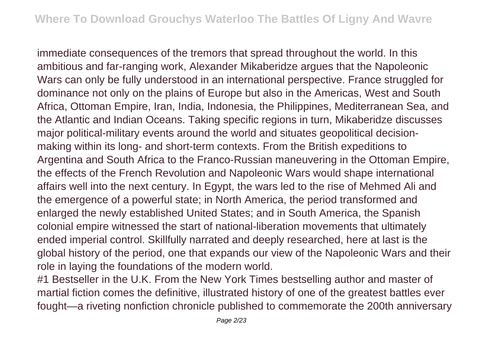immediate consequences of the tremors that spread throughout the world. In this ambitious and far-ranging work, Alexander Mikaberidze argues that the Napoleonic Wars can only be fully understood in an international perspective. France struggled for dominance not only on the plains of Europe but also in the Americas, West and South Africa, Ottoman Empire, Iran, India, Indonesia, the Philippines, Mediterranean Sea, and the Atlantic and Indian Oceans. Taking specific regions in turn, Mikaberidze discusses major political-military events around the world and situates geopolitical decisionmaking within its long- and short-term contexts. From the British expeditions to Argentina and South Africa to the Franco-Russian maneuvering in the Ottoman Empire, the effects of the French Revolution and Napoleonic Wars would shape international affairs well into the next century. In Egypt, the wars led to the rise of Mehmed Ali and the emergence of a powerful state; in North America, the period transformed and enlarged the newly established United States; and in South America, the Spanish colonial empire witnessed the start of national-liberation movements that ultimately ended imperial control. Skillfully narrated and deeply researched, here at last is the global history of the period, one that expands our view of the Napoleonic Wars and their role in laying the foundations of the modern world.

#1 Bestseller in the U.K. From the New York Times bestselling author and master of martial fiction comes the definitive, illustrated history of one of the greatest battles ever fought—a riveting nonfiction chronicle published to commemorate the 200th anniversary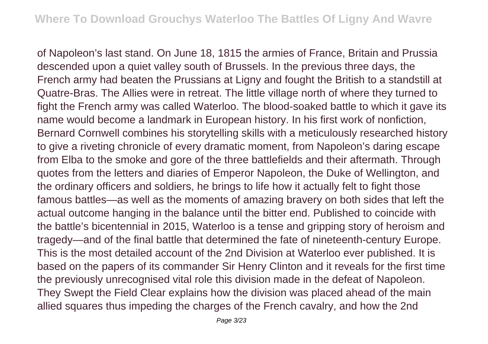of Napoleon's last stand. On June 18, 1815 the armies of France, Britain and Prussia descended upon a quiet valley south of Brussels. In the previous three days, the French army had beaten the Prussians at Ligny and fought the British to a standstill at Quatre-Bras. The Allies were in retreat. The little village north of where they turned to fight the French army was called Waterloo. The blood-soaked battle to which it gave its name would become a landmark in European history. In his first work of nonfiction, Bernard Cornwell combines his storytelling skills with a meticulously researched history to give a riveting chronicle of every dramatic moment, from Napoleon's daring escape from Elba to the smoke and gore of the three battlefields and their aftermath. Through quotes from the letters and diaries of Emperor Napoleon, the Duke of Wellington, and the ordinary officers and soldiers, he brings to life how it actually felt to fight those famous battles—as well as the moments of amazing bravery on both sides that left the actual outcome hanging in the balance until the bitter end. Published to coincide with the battle's bicentennial in 2015, Waterloo is a tense and gripping story of heroism and tragedy—and of the final battle that determined the fate of nineteenth-century Europe. This is the most detailed account of the 2nd Division at Waterloo ever published. It is based on the papers of its commander Sir Henry Clinton and it reveals for the first time the previously unrecognised vital role this division made in the defeat of Napoleon. They Swept the Field Clear explains how the division was placed ahead of the main allied squares thus impeding the charges of the French cavalry, and how the 2nd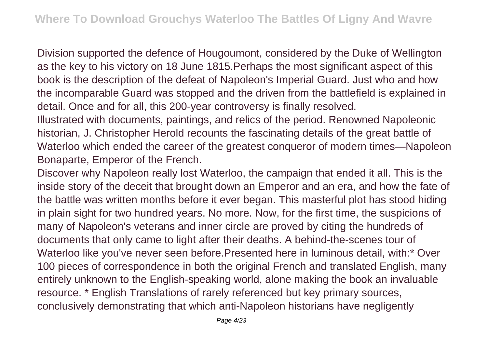Division supported the defence of Hougoumont, considered by the Duke of Wellington as the key to his victory on 18 June 1815.Perhaps the most significant aspect of this book is the description of the defeat of Napoleon's Imperial Guard. Just who and how the incomparable Guard was stopped and the driven from the battlefield is explained in detail. Once and for all, this 200-year controversy is finally resolved.

Illustrated with documents, paintings, and relics of the period. Renowned Napoleonic historian, J. Christopher Herold recounts the fascinating details of the great battle of Waterloo which ended the career of the greatest conqueror of modern times—Napoleon Bonaparte, Emperor of the French.

Discover why Napoleon really lost Waterloo, the campaign that ended it all. This is the inside story of the deceit that brought down an Emperor and an era, and how the fate of the battle was written months before it ever began. This masterful plot has stood hiding in plain sight for two hundred years. No more. Now, for the first time, the suspicions of many of Napoleon's veterans and inner circle are proved by citing the hundreds of documents that only came to light after their deaths. A behind-the-scenes tour of Waterloo like you've never seen before.Presented here in luminous detail, with:\* Over 100 pieces of correspondence in both the original French and translated English, many entirely unknown to the English-speaking world, alone making the book an invaluable resource. \* English Translations of rarely referenced but key primary sources, conclusively demonstrating that which anti-Napoleon historians have negligently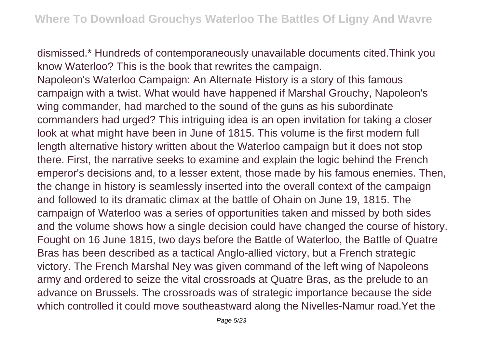dismissed.\* Hundreds of contemporaneously unavailable documents cited.Think you know Waterloo? This is the book that rewrites the campaign.

Napoleon's Waterloo Campaign: An Alternate History is a story of this famous campaign with a twist. What would have happened if Marshal Grouchy, Napoleon's wing commander, had marched to the sound of the guns as his subordinate commanders had urged? This intriguing idea is an open invitation for taking a closer look at what might have been in June of 1815. This volume is the first modern full length alternative history written about the Waterloo campaign but it does not stop there. First, the narrative seeks to examine and explain the logic behind the French emperor's decisions and, to a lesser extent, those made by his famous enemies. Then, the change in history is seamlessly inserted into the overall context of the campaign and followed to its dramatic climax at the battle of Ohain on June 19, 1815. The campaign of Waterloo was a series of opportunities taken and missed by both sides and the volume shows how a single decision could have changed the course of history. Fought on 16 June 1815, two days before the Battle of Waterloo, the Battle of Quatre Bras has been described as a tactical Anglo-allied victory, but a French strategic victory. The French Marshal Ney was given command of the left wing of Napoleons army and ordered to seize the vital crossroads at Quatre Bras, as the prelude to an advance on Brussels. The crossroads was of strategic importance because the side which controlled it could move southeastward along the Nivelles-Namur road.Yet the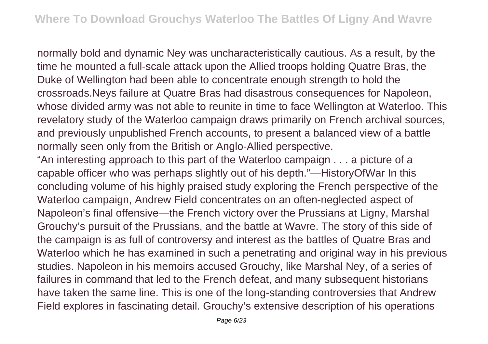normally bold and dynamic Ney was uncharacteristically cautious. As a result, by the time he mounted a full-scale attack upon the Allied troops holding Quatre Bras, the Duke of Wellington had been able to concentrate enough strength to hold the crossroads.Neys failure at Quatre Bras had disastrous consequences for Napoleon, whose divided army was not able to reunite in time to face Wellington at Waterloo. This revelatory study of the Waterloo campaign draws primarily on French archival sources, and previously unpublished French accounts, to present a balanced view of a battle normally seen only from the British or Anglo-Allied perspective.

"An interesting approach to this part of the Waterloo campaign . . . a picture of a capable officer who was perhaps slightly out of his depth."—HistoryOfWar In this concluding volume of his highly praised study exploring the French perspective of the Waterloo campaign, Andrew Field concentrates on an often-neglected aspect of Napoleon's final offensive—the French victory over the Prussians at Ligny, Marshal Grouchy's pursuit of the Prussians, and the battle at Wavre. The story of this side of the campaign is as full of controversy and interest as the battles of Quatre Bras and Waterloo which he has examined in such a penetrating and original way in his previous studies. Napoleon in his memoirs accused Grouchy, like Marshal Ney, of a series of failures in command that led to the French defeat, and many subsequent historians have taken the same line. This is one of the long-standing controversies that Andrew Field explores in fascinating detail. Grouchy's extensive description of his operations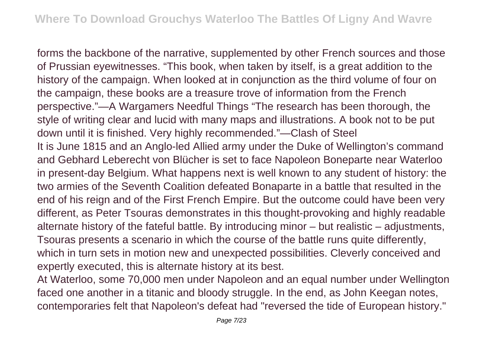forms the backbone of the narrative, supplemented by other French sources and those of Prussian eyewitnesses. "This book, when taken by itself, is a great addition to the history of the campaign. When looked at in conjunction as the third volume of four on the campaign, these books are a treasure trove of information from the French perspective."—A Wargamers Needful Things "The research has been thorough, the style of writing clear and lucid with many maps and illustrations. A book not to be put down until it is finished. Very highly recommended."—Clash of Steel It is June 1815 and an Anglo-led Allied army under the Duke of Wellington's command and Gebhard Leberecht von Blücher is set to face Napoleon Boneparte near Waterloo in present-day Belgium. What happens next is well known to any student of history: the two armies of the Seventh Coalition defeated Bonaparte in a battle that resulted in the end of his reign and of the First French Empire. But the outcome could have been very different, as Peter Tsouras demonstrates in this thought-provoking and highly readable alternate history of the fateful battle. By introducing minor – but realistic – adjustments, Tsouras presents a scenario in which the course of the battle runs quite differently, which in turn sets in motion new and unexpected possibilities. Cleverly conceived and expertly executed, this is alternate history at its best.

At Waterloo, some 70,000 men under Napoleon and an equal number under Wellington faced one another in a titanic and bloody struggle. In the end, as John Keegan notes, contemporaries felt that Napoleon's defeat had "reversed the tide of European history."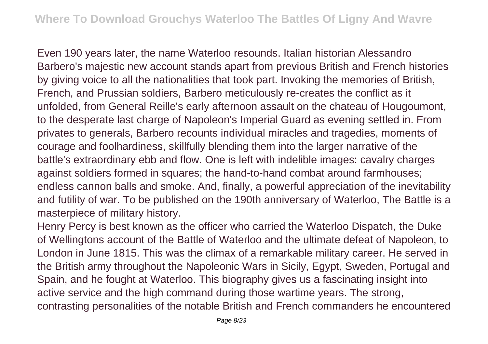Even 190 years later, the name Waterloo resounds. Italian historian Alessandro Barbero's majestic new account stands apart from previous British and French histories by giving voice to all the nationalities that took part. Invoking the memories of British, French, and Prussian soldiers, Barbero meticulously re-creates the conflict as it unfolded, from General Reille's early afternoon assault on the chateau of Hougoumont, to the desperate last charge of Napoleon's Imperial Guard as evening settled in. From privates to generals, Barbero recounts individual miracles and tragedies, moments of courage and foolhardiness, skillfully blending them into the larger narrative of the battle's extraordinary ebb and flow. One is left with indelible images: cavalry charges against soldiers formed in squares; the hand-to-hand combat around farmhouses; endless cannon balls and smoke. And, finally, a powerful appreciation of the inevitability and futility of war. To be published on the 190th anniversary of Waterloo, The Battle is a masterpiece of military history.

Henry Percy is best known as the officer who carried the Waterloo Dispatch, the Duke of Wellingtons account of the Battle of Waterloo and the ultimate defeat of Napoleon, to London in June 1815. This was the climax of a remarkable military career. He served in the British army throughout the Napoleonic Wars in Sicily, Egypt, Sweden, Portugal and Spain, and he fought at Waterloo. This biography gives us a fascinating insight into active service and the high command during those wartime years. The strong, contrasting personalities of the notable British and French commanders he encountered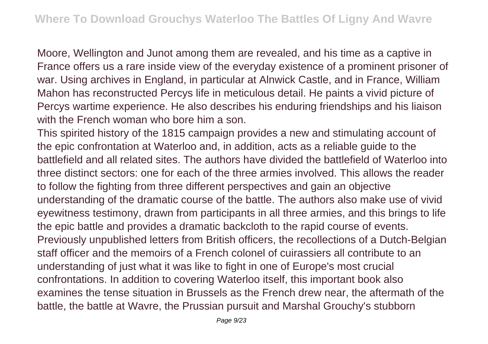Moore, Wellington and Junot among them are revealed, and his time as a captive in France offers us a rare inside view of the everyday existence of a prominent prisoner of war. Using archives in England, in particular at Alnwick Castle, and in France, William Mahon has reconstructed Percys life in meticulous detail. He paints a vivid picture of Percys wartime experience. He also describes his enduring friendships and his liaison with the French woman who bore him a son.

This spirited history of the 1815 campaign provides a new and stimulating account of the epic confrontation at Waterloo and, in addition, acts as a reliable guide to the battlefield and all related sites. The authors have divided the battlefield of Waterloo into three distinct sectors: one for each of the three armies involved. This allows the reader to follow the fighting from three different perspectives and gain an objective understanding of the dramatic course of the battle. The authors also make use of vivid eyewitness testimony, drawn from participants in all three armies, and this brings to life the epic battle and provides a dramatic backcloth to the rapid course of events. Previously unpublished letters from British officers, the recollections of a Dutch-Belgian staff officer and the memoirs of a French colonel of cuirassiers all contribute to an understanding of just what it was like to fight in one of Europe's most crucial confrontations. In addition to covering Waterloo itself, this important book also examines the tense situation in Brussels as the French drew near, the aftermath of the battle, the battle at Wavre, the Prussian pursuit and Marshal Grouchy's stubborn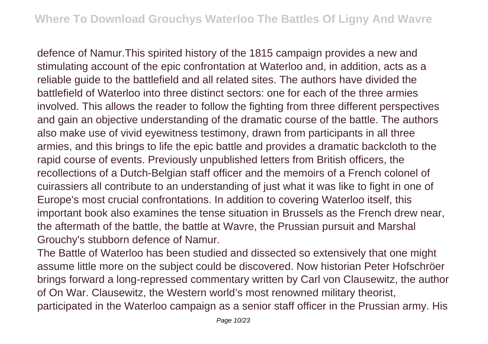defence of Namur.This spirited history of the 1815 campaign provides a new and stimulating account of the epic confrontation at Waterloo and, in addition, acts as a reliable guide to the battlefield and all related sites. The authors have divided the battlefield of Waterloo into three distinct sectors: one for each of the three armies involved. This allows the reader to follow the fighting from three different perspectives and gain an objective understanding of the dramatic course of the battle. The authors also make use of vivid eyewitness testimony, drawn from participants in all three armies, and this brings to life the epic battle and provides a dramatic backcloth to the rapid course of events. Previously unpublished letters from British officers, the recollections of a Dutch-Belgian staff officer and the memoirs of a French colonel of cuirassiers all contribute to an understanding of just what it was like to fight in one of Europe's most crucial confrontations. In addition to covering Waterloo itself, this important book also examines the tense situation in Brussels as the French drew near, the aftermath of the battle, the battle at Wavre, the Prussian pursuit and Marshal Grouchy's stubborn defence of Namur.

The Battle of Waterloo has been studied and dissected so extensively that one might assume little more on the subject could be discovered. Now historian Peter Hofschröer brings forward a long-repressed commentary written by Carl von Clausewitz, the author of On War. Clausewitz, the Western world's most renowned military theorist, participated in the Waterloo campaign as a senior staff officer in the Prussian army. His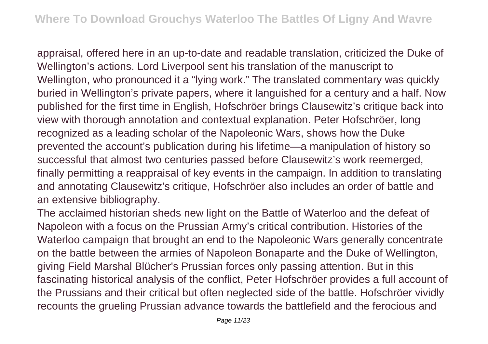appraisal, offered here in an up-to-date and readable translation, criticized the Duke of Wellington's actions. Lord Liverpool sent his translation of the manuscript to Wellington, who pronounced it a "lying work." The translated commentary was quickly buried in Wellington's private papers, where it languished for a century and a half. Now published for the first time in English, Hofschröer brings Clausewitz's critique back into view with thorough annotation and contextual explanation. Peter Hofschröer, long recognized as a leading scholar of the Napoleonic Wars, shows how the Duke prevented the account's publication during his lifetime—a manipulation of history so successful that almost two centuries passed before Clausewitz's work reemerged, finally permitting a reappraisal of key events in the campaign. In addition to translating and annotating Clausewitz's critique, Hofschröer also includes an order of battle and an extensive bibliography.

The acclaimed historian sheds new light on the Battle of Waterloo and the defeat of Napoleon with a focus on the Prussian Army's critical contribution. Histories of the Waterloo campaign that brought an end to the Napoleonic Wars generally concentrate on the battle between the armies of Napoleon Bonaparte and the Duke of Wellington, giving Field Marshal Blücher's Prussian forces only passing attention. But in this fascinating historical analysis of the conflict, Peter Hofschröer provides a full account of the Prussians and their critical but often neglected side of the battle. Hofschröer vividly recounts the grueling Prussian advance towards the battlefield and the ferocious and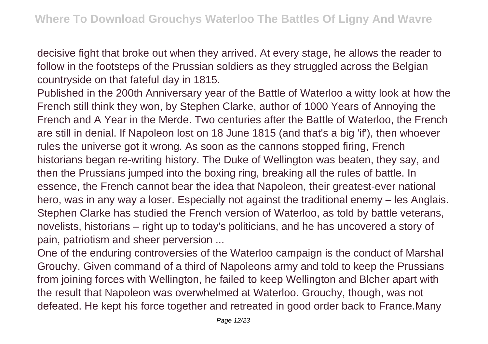decisive fight that broke out when they arrived. At every stage, he allows the reader to follow in the footsteps of the Prussian soldiers as they struggled across the Belgian countryside on that fateful day in 1815.

Published in the 200th Anniversary year of the Battle of Waterloo a witty look at how the French still think they won, by Stephen Clarke, author of 1000 Years of Annoying the French and A Year in the Merde. Two centuries after the Battle of Waterloo, the French are still in denial. If Napoleon lost on 18 June 1815 (and that's a big 'if'), then whoever rules the universe got it wrong. As soon as the cannons stopped firing, French historians began re-writing history. The Duke of Wellington was beaten, they say, and then the Prussians jumped into the boxing ring, breaking all the rules of battle. In essence, the French cannot bear the idea that Napoleon, their greatest-ever national hero, was in any way a loser. Especially not against the traditional enemy – les Anglais. Stephen Clarke has studied the French version of Waterloo, as told by battle veterans, novelists, historians – right up to today's politicians, and he has uncovered a story of pain, patriotism and sheer perversion ...

One of the enduring controversies of the Waterloo campaign is the conduct of Marshal Grouchy. Given command of a third of Napoleons army and told to keep the Prussians from joining forces with Wellington, he failed to keep Wellington and Blcher apart with the result that Napoleon was overwhelmed at Waterloo. Grouchy, though, was not defeated. He kept his force together and retreated in good order back to France.Many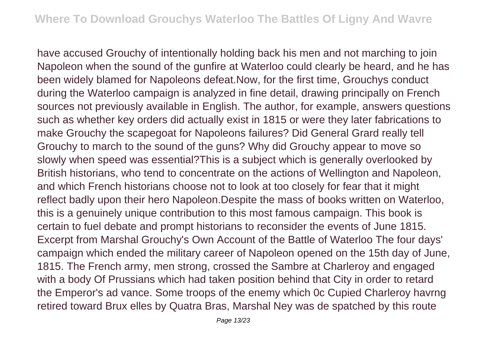have accused Grouchy of intentionally holding back his men and not marching to join Napoleon when the sound of the gunfire at Waterloo could clearly be heard, and he has been widely blamed for Napoleons defeat.Now, for the first time, Grouchys conduct during the Waterloo campaign is analyzed in fine detail, drawing principally on French sources not previously available in English. The author, for example, answers questions such as whether key orders did actually exist in 1815 or were they later fabrications to make Grouchy the scapegoat for Napoleons failures? Did General Grard really tell Grouchy to march to the sound of the guns? Why did Grouchy appear to move so slowly when speed was essential?This is a subject which is generally overlooked by British historians, who tend to concentrate on the actions of Wellington and Napoleon, and which French historians choose not to look at too closely for fear that it might reflect badly upon their hero Napoleon.Despite the mass of books written on Waterloo, this is a genuinely unique contribution to this most famous campaign. This book is certain to fuel debate and prompt historians to reconsider the events of June 1815. Excerpt from Marshal Grouchy's Own Account of the Battle of Waterloo The four days' campaign which ended the military career of Napoleon opened on the 15th day of June, 1815. The French army, men strong, crossed the Sambre at Charleroy and engaged with a body Of Prussians which had taken position behind that City in order to retard the Emperor's ad vance. Some troops of the enemy which 0c Cupied Charleroy havrng retired toward Brux elles by Quatra Bras, Marshal Ney was de spatched by this route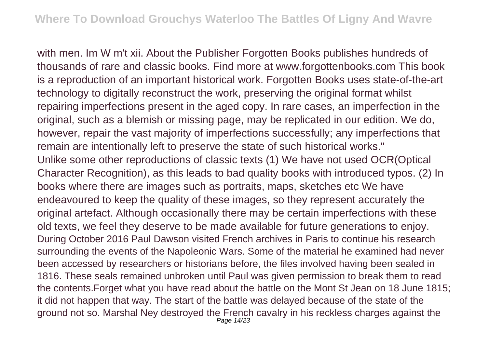with men. Im W m't xii. About the Publisher Forgotten Books publishes hundreds of thousands of rare and classic books. Find more at www.forgottenbooks.com This book is a reproduction of an important historical work. Forgotten Books uses state-of-the-art technology to digitally reconstruct the work, preserving the original format whilst repairing imperfections present in the aged copy. In rare cases, an imperfection in the original, such as a blemish or missing page, may be replicated in our edition. We do, however, repair the vast majority of imperfections successfully; any imperfections that remain are intentionally left to preserve the state of such historical works." Unlike some other reproductions of classic texts (1) We have not used OCR(Optical Character Recognition), as this leads to bad quality books with introduced typos. (2) In books where there are images such as portraits, maps, sketches etc We have endeavoured to keep the quality of these images, so they represent accurately the original artefact. Although occasionally there may be certain imperfections with these old texts, we feel they deserve to be made available for future generations to enjoy. During October 2016 Paul Dawson visited French archives in Paris to continue his research surrounding the events of the Napoleonic Wars. Some of the material he examined had never been accessed by researchers or historians before, the files involved having been sealed in 1816. These seals remained unbroken until Paul was given permission to break them to read the contents.Forget what you have read about the battle on the Mont St Jean on 18 June 1815; it did not happen that way. The start of the battle was delayed because of the state of the ground not so. Marshal Ney destroyed the French cavalry in his reckless charges against the Page 14/23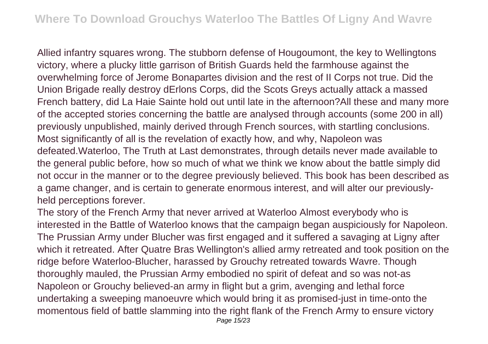Allied infantry squares wrong. The stubborn defense of Hougoumont, the key to Wellingtons victory, where a plucky little garrison of British Guards held the farmhouse against the overwhelming force of Jerome Bonapartes division and the rest of II Corps not true. Did the Union Brigade really destroy dErlons Corps, did the Scots Greys actually attack a massed French battery, did La Haie Sainte hold out until late in the afternoon?All these and many more of the accepted stories concerning the battle are analysed through accounts (some 200 in all) previously unpublished, mainly derived through French sources, with startling conclusions. Most significantly of all is the revelation of exactly how, and why, Napoleon was defeated.Waterloo, The Truth at Last demonstrates, through details never made available to the general public before, how so much of what we think we know about the battle simply did not occur in the manner or to the degree previously believed. This book has been described as a game changer, and is certain to generate enormous interest, and will alter our previouslyheld perceptions forever.

The story of the French Army that never arrived at Waterloo Almost everybody who is interested in the Battle of Waterloo knows that the campaign began auspiciously for Napoleon. The Prussian Army under Blucher was first engaged and it suffered a savaging at Ligny after which it retreated. After Quatre Bras Wellington's allied army retreated and took position on the ridge before Waterloo-Blucher, harassed by Grouchy retreated towards Wavre. Though thoroughly mauled, the Prussian Army embodied no spirit of defeat and so was not-as Napoleon or Grouchy believed-an army in flight but a grim, avenging and lethal force undertaking a sweeping manoeuvre which would bring it as promised-just in time-onto the momentous field of battle slamming into the right flank of the French Army to ensure victory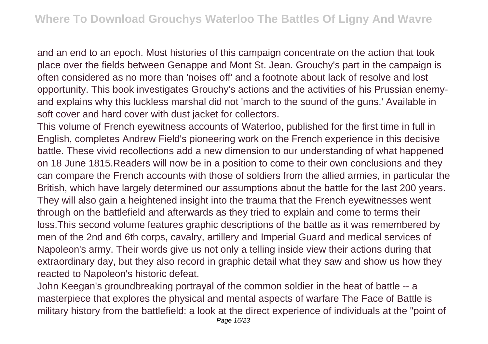and an end to an epoch. Most histories of this campaign concentrate on the action that took place over the fields between Genappe and Mont St. Jean. Grouchy's part in the campaign is often considered as no more than 'noises off' and a footnote about lack of resolve and lost opportunity. This book investigates Grouchy's actions and the activities of his Prussian enemyand explains why this luckless marshal did not 'march to the sound of the guns.' Available in soft cover and hard cover with dust jacket for collectors.

This volume of French eyewitness accounts of Waterloo, published for the first time in full in English, completes Andrew Field's pioneering work on the French experience in this decisive battle. These vivid recollections add a new dimension to our understanding of what happened on 18 June 1815.Readers will now be in a position to come to their own conclusions and they can compare the French accounts with those of soldiers from the allied armies, in particular the British, which have largely determined our assumptions about the battle for the last 200 years. They will also gain a heightened insight into the trauma that the French eyewitnesses went through on the battlefield and afterwards as they tried to explain and come to terms their loss.This second volume features graphic descriptions of the battle as it was remembered by men of the 2nd and 6th corps, cavalry, artillery and Imperial Guard and medical services of Napoleon's army. Their words give us not only a telling inside view their actions during that extraordinary day, but they also record in graphic detail what they saw and show us how they reacted to Napoleon's historic defeat.

John Keegan's groundbreaking portrayal of the common soldier in the heat of battle -- a masterpiece that explores the physical and mental aspects of warfare The Face of Battle is military history from the battlefield: a look at the direct experience of individuals at the "point of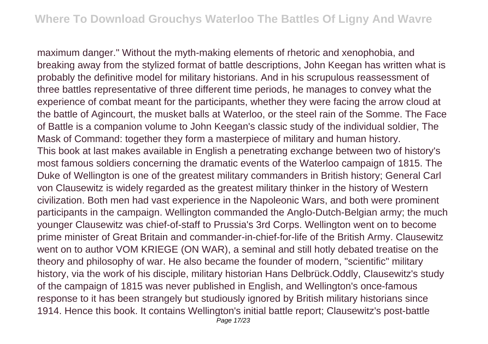maximum danger." Without the myth-making elements of rhetoric and xenophobia, and breaking away from the stylized format of battle descriptions, John Keegan has written what is probably the definitive model for military historians. And in his scrupulous reassessment of three battles representative of three different time periods, he manages to convey what the experience of combat meant for the participants, whether they were facing the arrow cloud at the battle of Agincourt, the musket balls at Waterloo, or the steel rain of the Somme. The Face of Battle is a companion volume to John Keegan's classic study of the individual soldier, The Mask of Command: together they form a masterpiece of military and human history. This book at last makes available in English a penetrating exchange between two of history's most famous soldiers concerning the dramatic events of the Waterloo campaign of 1815. The Duke of Wellington is one of the greatest military commanders in British history; General Carl von Clausewitz is widely regarded as the greatest military thinker in the history of Western civilization. Both men had vast experience in the Napoleonic Wars, and both were prominent participants in the campaign. Wellington commanded the Anglo-Dutch-Belgian army; the much younger Clausewitz was chief-of-staff to Prussia's 3rd Corps. Wellington went on to become prime minister of Great Britain and commander-in-chief-for-life of the British Army. Clausewitz went on to author VOM KRIEGE (ON WAR), a seminal and still hotly debated treatise on the theory and philosophy of war. He also became the founder of modern, "scientific" military history, via the work of his disciple, military historian Hans Delbrück.Oddly, Clausewitz's study of the campaign of 1815 was never published in English, and Wellington's once-famous response to it has been strangely but studiously ignored by British military historians since 1914. Hence this book. It contains Wellington's initial battle report; Clausewitz's post-battle Page 17/23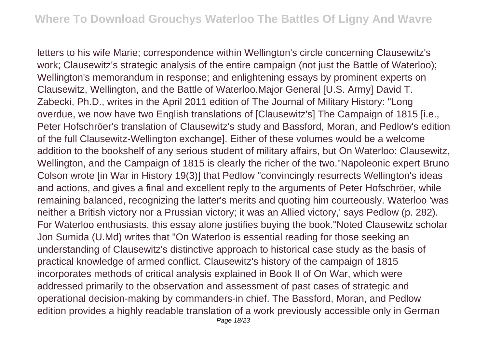letters to his wife Marie; correspondence within Wellington's circle concerning Clausewitz's work: Clausewitz's strategic analysis of the entire campaign (not just the Battle of Waterloo); Wellington's memorandum in response; and enlightening essays by prominent experts on Clausewitz, Wellington, and the Battle of Waterloo.Major General [U.S. Army] David T. Zabecki, Ph.D., writes in the April 2011 edition of The Journal of Military History: "Long overdue, we now have two English translations of [Clausewitz's] The Campaign of 1815 [i.e., Peter Hofschröer's translation of Clausewitz's study and Bassford, Moran, and Pedlow's edition of the full Clausewitz-Wellington exchange]. Either of these volumes would be a welcome addition to the bookshelf of any serious student of military affairs, but On Waterloo: Clausewitz, Wellington, and the Campaign of 1815 is clearly the richer of the two."Napoleonic expert Bruno Colson wrote [in War in History 19(3)] that Pedlow "convincingly resurrects Wellington's ideas and actions, and gives a final and excellent reply to the arguments of Peter Hofschröer, while remaining balanced, recognizing the latter's merits and quoting him courteously. Waterloo 'was neither a British victory nor a Prussian victory; it was an Allied victory,' says Pedlow (p. 282). For Waterloo enthusiasts, this essay alone justifies buying the book."Noted Clausewitz scholar Jon Sumida (U.Md) writes that "On Waterloo is essential reading for those seeking an understanding of Clausewitz's distinctive approach to historical case study as the basis of practical knowledge of armed conflict. Clausewitz's history of the campaign of 1815 incorporates methods of critical analysis explained in Book II of On War, which were addressed primarily to the observation and assessment of past cases of strategic and operational decision-making by commanders-in chief. The Bassford, Moran, and Pedlow edition provides a highly readable translation of a work previously accessible only in German Page 18/23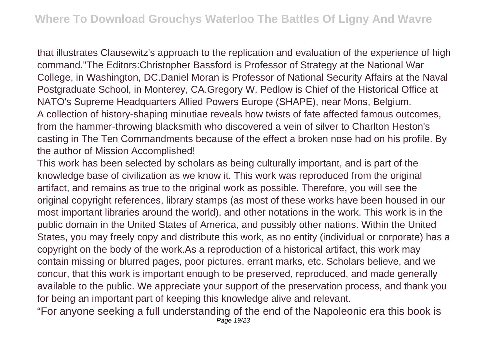that illustrates Clausewitz's approach to the replication and evaluation of the experience of high command."The Editors:Christopher Bassford is Professor of Strategy at the National War College, in Washington, DC.Daniel Moran is Professor of National Security Affairs at the Naval Postgraduate School, in Monterey, CA.Gregory W. Pedlow is Chief of the Historical Office at NATO's Supreme Headquarters Allied Powers Europe (SHAPE), near Mons, Belgium. A collection of history-shaping minutiae reveals how twists of fate affected famous outcomes, from the hammer-throwing blacksmith who discovered a vein of silver to Charlton Heston's casting in The Ten Commandments because of the effect a broken nose had on his profile. By the author of Mission Accomplished!

This work has been selected by scholars as being culturally important, and is part of the knowledge base of civilization as we know it. This work was reproduced from the original artifact, and remains as true to the original work as possible. Therefore, you will see the original copyright references, library stamps (as most of these works have been housed in our most important libraries around the world), and other notations in the work. This work is in the public domain in the United States of America, and possibly other nations. Within the United States, you may freely copy and distribute this work, as no entity (individual or corporate) has a copyright on the body of the work.As a reproduction of a historical artifact, this work may contain missing or blurred pages, poor pictures, errant marks, etc. Scholars believe, and we concur, that this work is important enough to be preserved, reproduced, and made generally available to the public. We appreciate your support of the preservation process, and thank you for being an important part of keeping this knowledge alive and relevant.

"For anyone seeking a full understanding of the end of the Napoleonic era this book is Page 19/23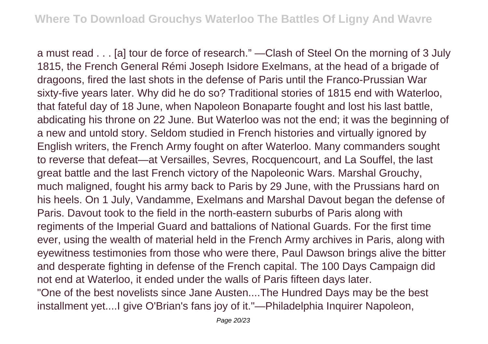a must read . . . [a] tour de force of research." —Clash of Steel On the morning of 3 July 1815, the French General Rémi Joseph Isidore Exelmans, at the head of a brigade of dragoons, fired the last shots in the defense of Paris until the Franco-Prussian War sixty-five years later. Why did he do so? Traditional stories of 1815 end with Waterloo, that fateful day of 18 June, when Napoleon Bonaparte fought and lost his last battle, abdicating his throne on 22 June. But Waterloo was not the end; it was the beginning of a new and untold story. Seldom studied in French histories and virtually ignored by English writers, the French Army fought on after Waterloo. Many commanders sought to reverse that defeat—at Versailles, Sevres, Rocquencourt, and La Souffel, the last great battle and the last French victory of the Napoleonic Wars. Marshal Grouchy, much maligned, fought his army back to Paris by 29 June, with the Prussians hard on his heels. On 1 July, Vandamme, Exelmans and Marshal Davout began the defense of Paris. Davout took to the field in the north-eastern suburbs of Paris along with regiments of the Imperial Guard and battalions of National Guards. For the first time ever, using the wealth of material held in the French Army archives in Paris, along with eyewitness testimonies from those who were there, Paul Dawson brings alive the bitter and desperate fighting in defense of the French capital. The 100 Days Campaign did not end at Waterloo, it ended under the walls of Paris fifteen days later. "One of the best novelists since Jane Austen....The Hundred Days may be the best installment yet....I give O'Brian's fans joy of it."—Philadelphia Inquirer Napoleon,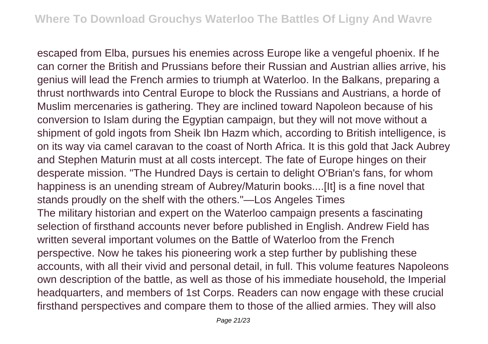escaped from Elba, pursues his enemies across Europe like a vengeful phoenix. If he can corner the British and Prussians before their Russian and Austrian allies arrive, his genius will lead the French armies to triumph at Waterloo. In the Balkans, preparing a thrust northwards into Central Europe to block the Russians and Austrians, a horde of Muslim mercenaries is gathering. They are inclined toward Napoleon because of his conversion to Islam during the Egyptian campaign, but they will not move without a shipment of gold ingots from Sheik Ibn Hazm which, according to British intelligence, is on its way via camel caravan to the coast of North Africa. It is this gold that Jack Aubrey and Stephen Maturin must at all costs intercept. The fate of Europe hinges on their desperate mission. "The Hundred Days is certain to delight O'Brian's fans, for whom happiness is an unending stream of Aubrey/Maturin books....[It] is a fine novel that stands proudly on the shelf with the others."—Los Angeles Times The military historian and expert on the Waterloo campaign presents a fascinating selection of firsthand accounts never before published in English. Andrew Field has written several important volumes on the Battle of Waterloo from the French perspective. Now he takes his pioneering work a step further by publishing these accounts, with all their vivid and personal detail, in full. This volume features Napoleons own description of the battle, as well as those of his immediate household, the Imperial headquarters, and members of 1st Corps. Readers can now engage with these crucial firsthand perspectives and compare them to those of the allied armies. They will also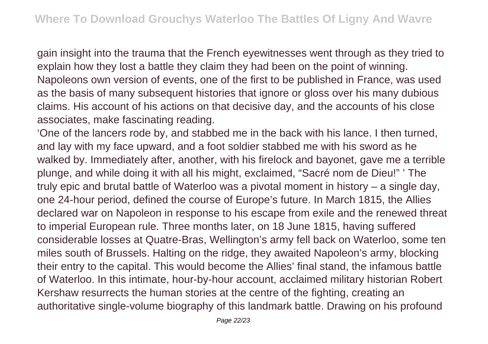gain insight into the trauma that the French eyewitnesses went through as they tried to explain how they lost a battle they claim they had been on the point of winning. Napoleons own version of events, one of the first to be published in France, was used as the basis of many subsequent histories that ignore or gloss over his many dubious claims. His account of his actions on that decisive day, and the accounts of his close associates, make fascinating reading.

'One of the lancers rode by, and stabbed me in the back with his lance. I then turned, and lay with my face upward, and a foot soldier stabbed me with his sword as he walked by. Immediately after, another, with his firelock and bayonet, gave me a terrible plunge, and while doing it with all his might, exclaimed, "Sacré nom de Dieu!" ' The truly epic and brutal battle of Waterloo was a pivotal moment in history – a single day, one 24-hour period, defined the course of Europe's future. In March 1815, the Allies declared war on Napoleon in response to his escape from exile and the renewed threat to imperial European rule. Three months later, on 18 June 1815, having suffered considerable losses at Quatre-Bras, Wellington's army fell back on Waterloo, some ten miles south of Brussels. Halting on the ridge, they awaited Napoleon's army, blocking their entry to the capital. This would become the Allies' final stand, the infamous battle of Waterloo. In this intimate, hour-by-hour account, acclaimed military historian Robert Kershaw resurrects the human stories at the centre of the fighting, creating an authoritative single-volume biography of this landmark battle. Drawing on his profound